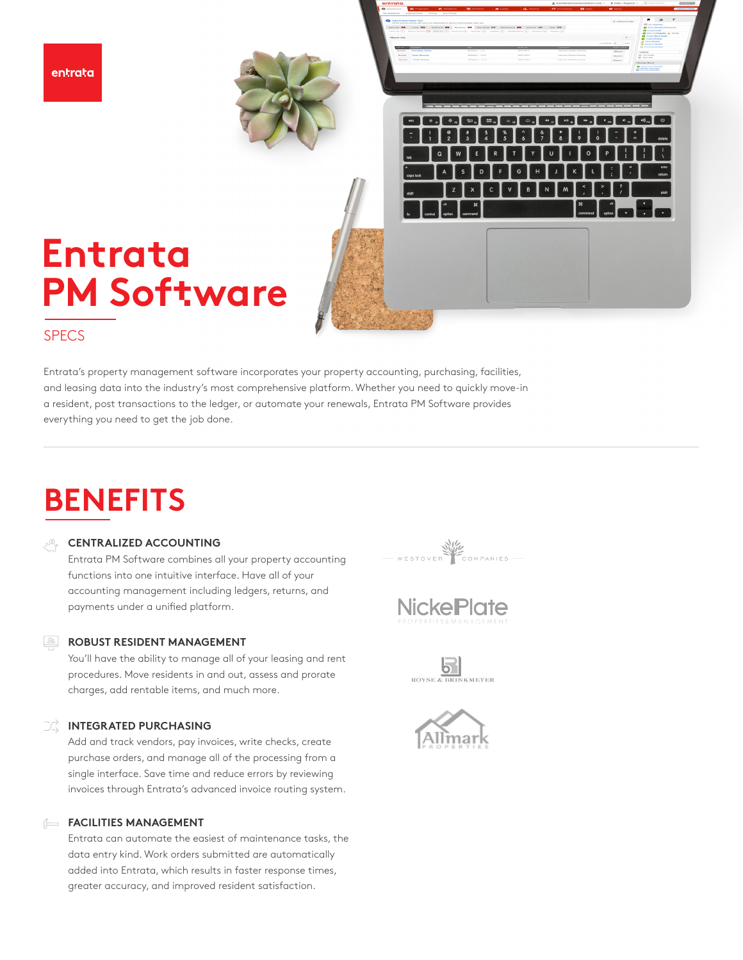entrata

# **Entrata PM Sof**t**ware**

## **SPECS**

Entrata's property management software incorporates your property accounting, purchasing, facilities, and leasing data into the industry's most comprehensive platform. Whether you need to quickly move-in a resident, post transactions to the ledger, or automate your renewals, Entrata PM Software provides everything you need to get the job done.

# **BENEFITS**

## **CENTRALIZED ACCOUNTING**

Entrata PM Software combines all your property accounting functions into one intuitive interface. Have all of your accounting management including ledgers, returns, and payments under a unified platform.

## **ROBUST RESIDENT MANAGEMENT**

You'll have the ability to manage all of your leasing and rent procedures. Move residents in and out, assess and prorate charges, add rentable items, and much more.

## **INTEGRATED PURCHASING**

Add and track vendors, pay invoices, write checks, create purchase orders, and manage all of the processing from a single interface. Save time and reduce errors by reviewing invoices through Entrata's advanced invoice routing system.

## **FACILITIES MANAGEMENT**

Entrata can automate the easiest of maintenance tasks, the data entry kind. Work orders submitted are automatically added into Entrata, which results in faster response times, greater accuracy, and improved resident satisfaction.



 $\left\| \mathcal{L}_{\mathcal{L},n} \right\| = \left\| \mathcal{L}_{\mathcal{L},n} \right\| = \left\| \mathcal{L}_{\mathcal{L},n} \right\| = \left\| \mathcal{L}_{\mathcal{L},n} \right\| = \left\| \mathcal{L}_{\mathcal{L},n} \right\| = \left\| \mathcal{L}_{\mathcal{L},n} \right\| = \left\| \mathcal{L}_{\mathcal{L},n} \right\| = \left\| \mathcal{L}_{\mathcal{L},n} \right\| = \left\| \mathcal{L}_{\mathcal{L},n} \right\| = \left\| \mathcal{L}_{\mathcal$